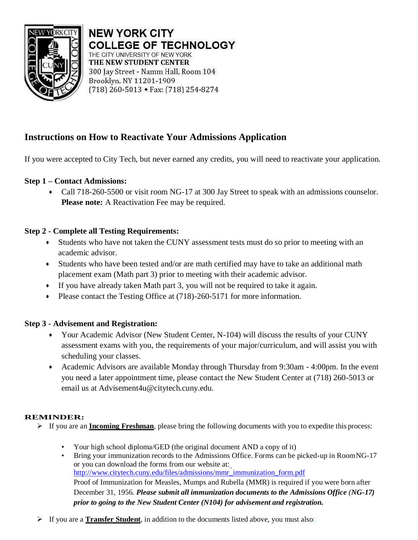

**NEW YORK CITY COLLEGE OF TECHNOLOGY** THE CITY UNIVERSITY OF NEW YORK THE NEW STUDENT CENTER 300 Jay Street - Namm Hall, Room 104 Brooklyn, NY 11201-1909  $(718)$  260-5013 • Fax:  $(718)$  254-8274

# **Instructions on How to Reactivate Your Admissions Application**

If you were accepted to City Tech, but never earned any credits, you will need to reactivate your application.

## **Step 1 – Contact Admissions:**

• Call 718-260-5500 or visit room NG-17 at 300 Jay Street to speak with an admissions counselor. Please note: A Reactivation Fee may be required.

## **Step 2 - Complete all Testing Requirements:**

- Students who have not taken the CUNY assessment tests must do so prior to meeting with an academic advisor.
- Students who have been tested and/or are math certified may have to take an additional math placement exam (Math part 3) prior to meeting with their academic advisor.
- If you have already taken Math part 3, you will not be required to take it again.
- Please contact the Testing Office at (718)-260-5171 for more information.

### **Step 3 - Advisement and Registration:**

- Your Academic Advisor (New Student Center, N-104) will discuss the results of your CUNY assessment exams with you, the requirements of your major/curriculum, and will assist you with scheduling your classes.
- Academic Advisors are available Monday through Thursday from 9:30am 4:00pm. In the event you need a later appointment time, please contact the New Student Center at (718) 260-5013 or email us at [Advisement4u@citytech.cuny.edu.](mailto:Advisement4u@citytech.cuny.edu)

### **REMINDER:**

- ➢ If you are an **Incoming Freshman**, please bring the following documents with you to expedite this process:
	- Your high school diploma/GED (the original document AND a copy of it)
	- Bring your immunization records to the Admissions Office. Forms can be picked-up in RoomNG-17 or you can download the forms from our website at: [http://www.citytech.cuny.edu/files/admissions/mmr\\_immunization\\_form.pdf](http://www.citytech.cuny.edu/files/admissions/mmr_immunization_form.pdf) Proof of Immunization for Measles, Mumps and Rubella (MMR) is required if you were born after December 31, 1956. *Please submit all immunization documents to the Admissions Office (NG-17) prior to going to the New Student Center (N104) for advisement and registration.*
- ➢ If you are a **Transfer Student**, in addition to the documents listed above, you must also: